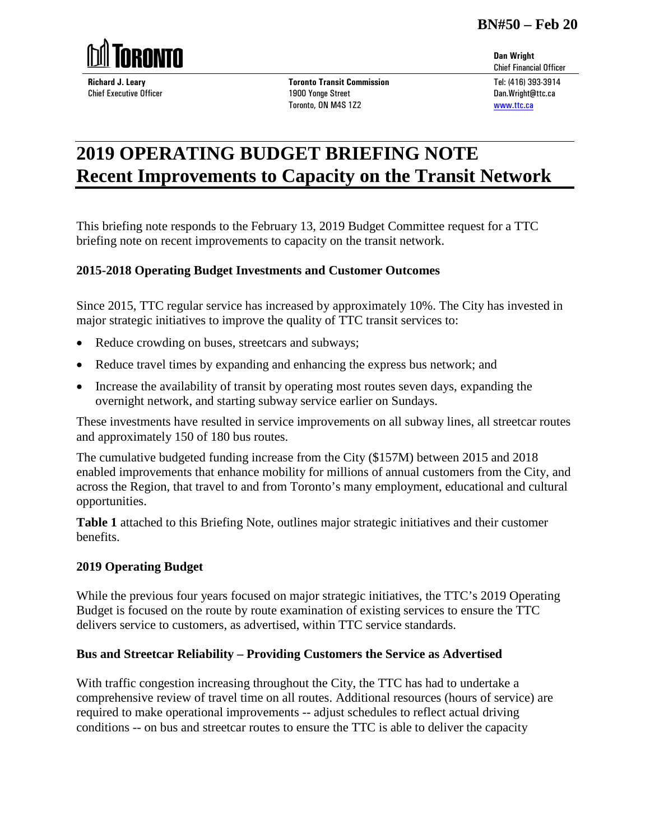

**Richard J. Leary** Chief Executive Officer **Toronto Transit Commission** 1900 Yonge Street Toronto, ON M4S 1Z2

# **2019 OPERATING BUDGET BRIEFING NOTE Recent Improvements to Capacity on the Transit Network**

This briefing note responds to the February 13, 2019 Budget Committee request for a TTC briefing note on recent improvements to capacity on the transit network.

## **2015-2018 Operating Budget Investments and Customer Outcomes**

Since 2015, TTC regular service has increased by approximately 10%. The City has invested in major strategic initiatives to improve the quality of TTC transit services to:

- Reduce crowding on buses, streetcars and subways;
- Reduce travel times by expanding and enhancing the express bus network; and
- Increase the availability of transit by operating most routes seven days, expanding the overnight network, and starting subway service earlier on Sundays.

These investments have resulted in service improvements on all subway lines, all streetcar routes and approximately 150 of 180 bus routes.

The cumulative budgeted funding increase from the City (\$157M) between 2015 and 2018 enabled improvements that enhance mobility for millions of annual customers from the City, and across the Region, that travel to and from Toronto's many employment, educational and cultural opportunities.

**Table 1** attached to this Briefing Note, outlines major strategic initiatives and their customer benefits.

## **2019 Operating Budget**

While the previous four years focused on major strategic initiatives, the TTC's 2019 Operating Budget is focused on the route by route examination of existing services to ensure the TTC delivers service to customers, as advertised, within TTC service standards.

## **Bus and Streetcar Reliability – Providing Customers the Service as Advertised**

With traffic congestion increasing throughout the City, the TTC has had to undertake a comprehensive review of travel time on all routes. Additional resources (hours of service) are required to make operational improvements -- adjust schedules to reflect actual driving conditions -- on bus and streetcar routes to ensure the TTC is able to deliver the capacity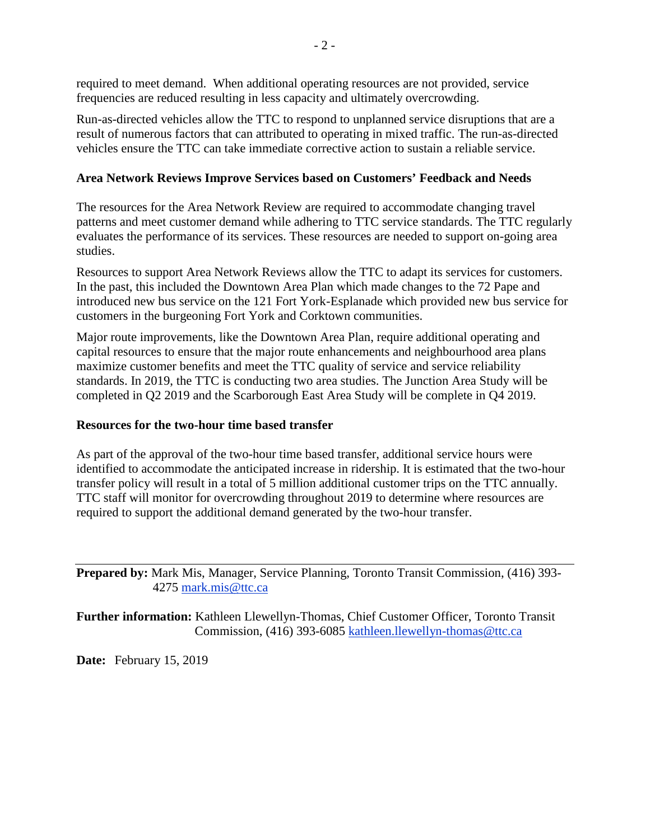required to meet demand. When additional operating resources are not provided, service frequencies are reduced resulting in less capacity and ultimately overcrowding.

Run-as-directed vehicles allow the TTC to respond to unplanned service disruptions that are a result of numerous factors that can attributed to operating in mixed traffic. The run-as-directed vehicles ensure the TTC can take immediate corrective action to sustain a reliable service.

#### **Area Network Reviews Improve Services based on Customers' Feedback and Needs**

The resources for the Area Network Review are required to accommodate changing travel patterns and meet customer demand while adhering to TTC service standards. The TTC regularly evaluates the performance of its services. These resources are needed to support on-going area studies.

Resources to support Area Network Reviews allow the TTC to adapt its services for customers. In the past, this included the Downtown Area Plan which made changes to the 72 Pape and introduced new bus service on the 121 Fort York-Esplanade which provided new bus service for customers in the burgeoning Fort York and Corktown communities.

Major route improvements, like the Downtown Area Plan, require additional operating and capital resources to ensure that the major route enhancements and neighbourhood area plans maximize customer benefits and meet the TTC quality of service and service reliability standards. In 2019, the TTC is conducting two area studies. The Junction Area Study will be completed in Q2 2019 and the Scarborough East Area Study will be complete in Q4 2019.

#### **Resources for the two-hour time based transfer**

As part of the approval of the two-hour time based transfer, additional service hours were identified to accommodate the anticipated increase in ridership. It is estimated that the two-hour transfer policy will result in a total of 5 million additional customer trips on the TTC annually. TTC staff will monitor for overcrowding throughout 2019 to determine where resources are required to support the additional demand generated by the two-hour transfer.

**Prepared by:** Mark Mis, Manager, Service Planning, Toronto Transit Commission, (416) 393- 4275 mark.mis@ttc.ca

**Further information:** Kathleen Llewellyn-Thomas, Chief Customer Officer, Toronto Transit Commission, (416) 393-6085 kathleen.llewellyn-thomas@ttc.ca

**Date:** February 15, 2019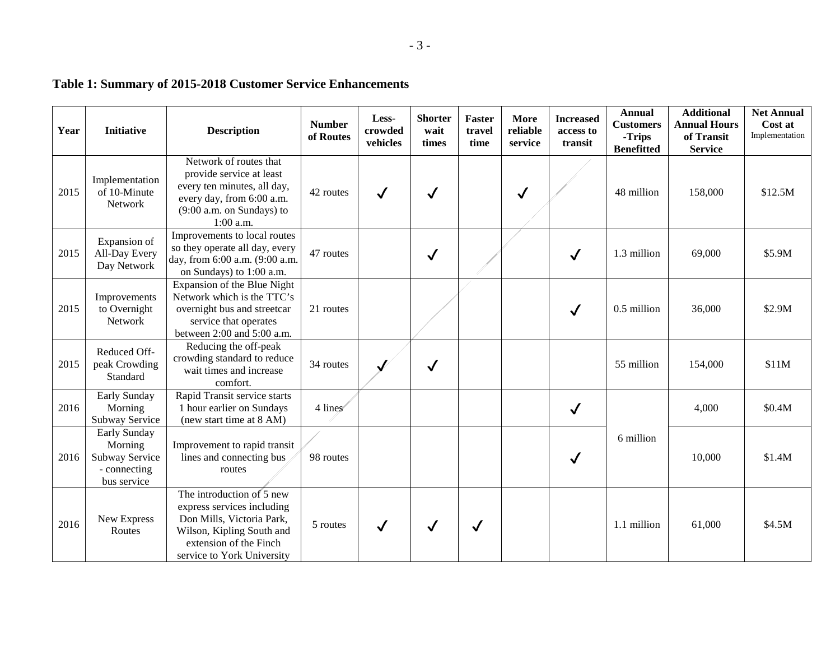| Year | <b>Initiative</b>                                                        | <b>Description</b>                                                                                                                                                        | <b>Number</b><br>of Routes | Less-<br>crowded<br>vehicles | <b>Shorter</b><br>wait<br>times | Faster<br>travel<br>time | More<br>reliable<br>service | <b>Increased</b><br>access to<br>transit | <b>Annual</b><br><b>Customers</b><br>-Trips<br><b>Benefitted</b> | <b>Additional</b><br><b>Annual Hours</b><br>of Transit<br><b>Service</b> | <b>Net Annual</b><br>Cost at<br>Implementation |
|------|--------------------------------------------------------------------------|---------------------------------------------------------------------------------------------------------------------------------------------------------------------------|----------------------------|------------------------------|---------------------------------|--------------------------|-----------------------------|------------------------------------------|------------------------------------------------------------------|--------------------------------------------------------------------------|------------------------------------------------|
| 2015 | Implementation<br>of 10-Minute<br>Network                                | Network of routes that<br>provide service at least<br>every ten minutes, all day,<br>every day, from 6:00 a.m.<br>(9:00 a.m. on Sundays) to<br>$1:00$ a.m.                | 42 routes                  | $\checkmark$                 | $\checkmark$                    |                          | $\checkmark$                |                                          | 48 million                                                       | 158,000                                                                  | \$12.5M                                        |
| 2015 | Expansion of<br>All-Day Every<br>Day Network                             | Improvements to local routes<br>so they operate all day, every<br>day, from 6:00 a.m. (9:00 a.m.<br>on Sundays) to 1:00 a.m.                                              | 47 routes                  |                              | $\checkmark$                    |                          |                             | $\checkmark$                             | 1.3 million                                                      | 69,000                                                                   | \$5.9M                                         |
| 2015 | Improvements<br>to Overnight<br>Network                                  | Expansion of the Blue Night<br>Network which is the TTC's<br>overnight bus and streetcar<br>service that operates<br>between 2:00 and 5:00 a.m.                           | 21 routes                  |                              |                                 |                          |                             | $\checkmark$                             | 0.5 million                                                      | 36,000                                                                   | \$2.9M                                         |
| 2015 | Reduced Off-<br>peak Crowding<br>Standard                                | Reducing the off-peak<br>crowding standard to reduce<br>wait times and increase<br>comfort.                                                                               | 34 routes                  |                              | $\checkmark$                    |                          |                             |                                          | 55 million                                                       | 154,000                                                                  | \$11M                                          |
| 2016 | Early Sunday<br>Morning<br>Subway Service                                | Rapid Transit service starts<br>1 hour earlier on Sundays<br>(new start time at 8 AM)                                                                                     | 4 lines                    |                              |                                 |                          |                             | $\checkmark$                             |                                                                  | 4,000                                                                    | \$0.4M                                         |
| 2016 | Early Sunday<br>Morning<br>Subway Service<br>- connecting<br>bus service | Improvement to rapid transit<br>lines and connecting bus<br>routes                                                                                                        | 98 routes                  |                              |                                 |                          |                             |                                          | 6 million                                                        | 10,000                                                                   | \$1.4M                                         |
| 2016 | New Express<br>Routes                                                    | The introduction of 5 new<br>express services including<br>Don Mills, Victoria Park,<br>Wilson, Kipling South and<br>extension of the Finch<br>service to York University | 5 routes                   |                              | $\checkmark$                    | $\checkmark$             |                             |                                          | 1.1 million                                                      | 61,000                                                                   | \$4.5M                                         |

# **Table 1: Summary of 2015-2018 Customer Service Enhancements**